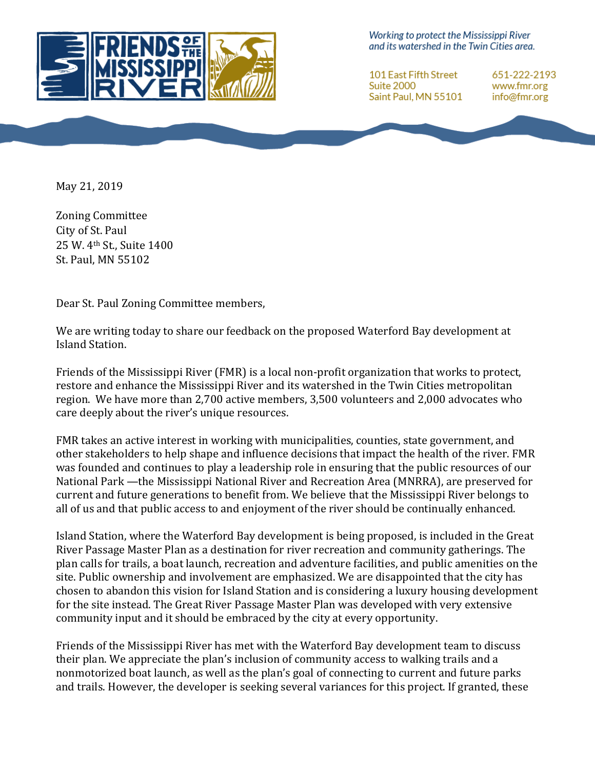

Working to protect the Mississippi River and its watershed in the Twin Cities area.

**101 East Fifth Street** Suite 2000 Saint Paul, MN 55101

651-222-2193 www.fmr.org info@fmr.org

May 21, 2019

Zoning Committee City of St. Paul 25 W. 4<sup>th</sup> St., Suite 1400 St. Paul, MN 55102

Dear St. Paul Zoning Committee members,

We are writing today to share our feedback on the proposed Waterford Bay development at Island Station.

Friends of the Mississippi River (FMR) is a local non-profit organization that works to protect, restore and enhance the Mississippi River and its watershed in the Twin Cities metropolitan region. We have more than 2,700 active members, 3,500 volunteers and 2,000 advocates who care deeply about the river's unique resources.

FMR takes an active interest in working with municipalities, counties, state government, and other stakeholders to help shape and influence decisions that impact the health of the river. FMR was founded and continues to play a leadership role in ensuring that the public resources of our National Park —the Mississippi National River and Recreation Area (MNRRA), are preserved for current and future generations to benefit from. We believe that the Mississippi River belongs to all of us and that public access to and enjoyment of the river should be continually enhanced.

Island Station, where the Waterford Bay development is being proposed, is included in the Great River Passage Master Plan as a destination for river recreation and community gatherings. The plan calls for trails, a boat launch, recreation and adventure facilities, and public amenities on the site. Public ownership and involvement are emphasized. We are disappointed that the city has chosen to abandon this vision for Island Station and is considering a luxury housing development for the site instead. The Great River Passage Master Plan was developed with very extensive community input and it should be embraced by the city at every opportunity.

Friends of the Mississippi River has met with the Waterford Bay development team to discuss their plan. We appreciate the plan's inclusion of community access to walking trails and a nonmotorized boat launch, as well as the plan's goal of connecting to current and future parks and trails. However, the developer is seeking several variances for this project. If granted, these